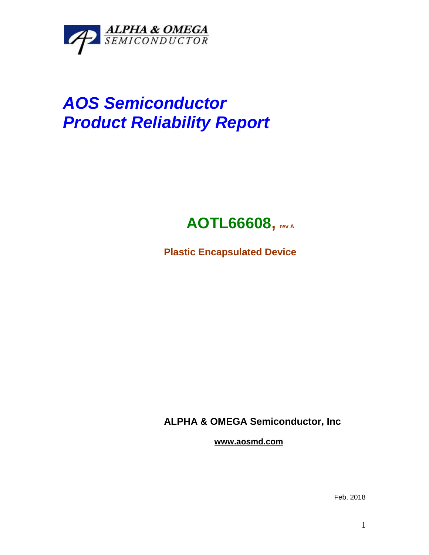

## *AOS Semiconductor Product Reliability Report*



**Plastic Encapsulated Device**

**ALPHA & OMEGA Semiconductor, Inc**

**www.aosmd.com**

Feb, 2018